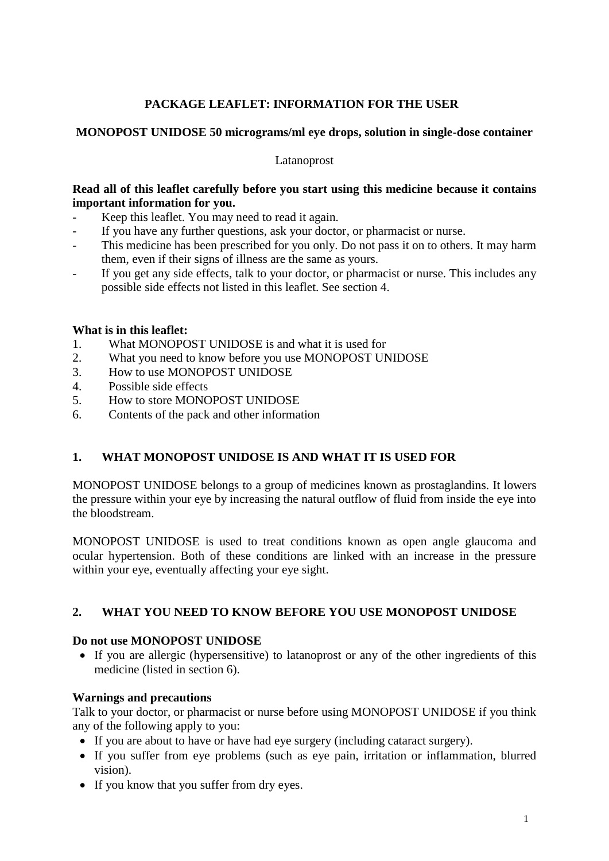# **PACKAGE LEAFLET: INFORMATION FOR THE USER**

### **MONOPOST UNIDOSE 50 micrograms/ml eye drops, solution in single-dose container**

#### Latanoprost

### **Read all of this leaflet carefully before you start using this medicine because it contains important information for you.**

- Keep this leaflet. You may need to read it again.
- If you have any further questions, ask your doctor, or pharmacist or nurse.
- This medicine has been prescribed for you only. Do not pass it on to others. It may harm them, even if their signs of illness are the same as yours.
- If you get any side effects, talk to your doctor, or pharmacist or nurse. This includes any possible side effects not listed in this leaflet. See section 4.

### **What is in this leaflet:**

- 1. What MONOPOST UNIDOSE is and what it is used for
- 2. What you need to know before you use MONOPOST UNIDOSE
- 3. How to use MONOPOST UNIDOSE
- 4. Possible side effects
- 5. How to store MONOPOST UNIDOSE
- 6. Contents of the pack and other information

# **1. WHAT MONOPOST UNIDOSE IS AND WHAT IT IS USED FOR**

MONOPOST UNIDOSE belongs to a group of medicines known as prostaglandins. It lowers the pressure within your eye by increasing the natural outflow of fluid from inside the eye into the bloodstream.

MONOPOST UNIDOSE is used to treat conditions known as open angle glaucoma and ocular hypertension. Both of these conditions are linked with an increase in the pressure within your eye, eventually affecting your eye sight.

# **2. WHAT YOU NEED TO KNOW BEFORE YOU USE MONOPOST UNIDOSE**

#### **Do not use MONOPOST UNIDOSE**

 If you are allergic (hypersensitive) to latanoprost or any of the other ingredients of this medicine (listed in section 6).

#### **Warnings and precautions**

Talk to your doctor, or pharmacist or nurse before using MONOPOST UNIDOSE if you think any of the following apply to you:

- If you are about to have or have had eye surgery (including cataract surgery).
- If you suffer from eye problems (such as eye pain, irritation or inflammation, blurred vision).
- If you know that you suffer from dry eyes.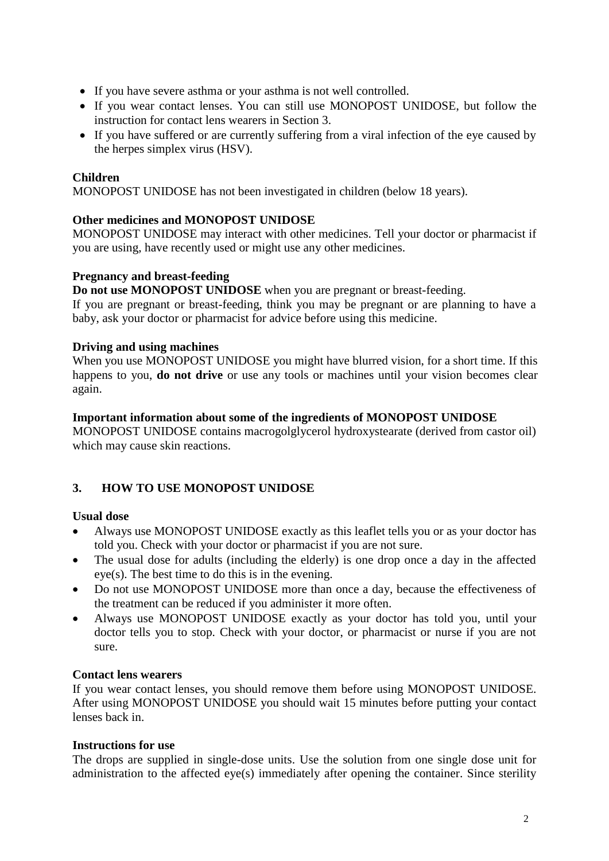- If you have severe asthma or your asthma is not well controlled.
- If you wear contact lenses. You can still use MONOPOST UNIDOSE, but follow the instruction for contact lens wearers in Section 3.
- If you have suffered or are currently suffering from a viral infection of the eye caused by the herpes simplex virus (HSV).

### **Children**

MONOPOST UNIDOSE has not been investigated in children (below 18 years).

### **Other medicines and MONOPOST UNIDOSE**

MONOPOST UNIDOSE may interact with other medicines. Tell your doctor or pharmacist if you are using, have recently used or might use any other medicines.

#### **Pregnancy and breast-feeding**

**Do not use MONOPOST UNIDOSE** when you are pregnant or breast-feeding.

If you are pregnant or breast-feeding, think you may be pregnant or are planning to have a baby, ask your doctor or pharmacist for advice before using this medicine.

#### **Driving and using machines**

When you use MONOPOST UNIDOSE you might have blurred vision, for a short time. If this happens to you, **do not drive** or use any tools or machines until your vision becomes clear again.

#### **Important information about some of the ingredients of MONOPOST UNIDOSE**

MONOPOST UNIDOSE contains macrogolglycerol hydroxystearate (derived from castor oil) which may cause skin reactions.

# **3. HOW TO USE MONOPOST UNIDOSE**

#### **Usual dose**

- Always use MONOPOST UNIDOSE exactly as this leaflet tells you or as your doctor has told you. Check with your doctor or pharmacist if you are not sure.
- The usual dose for adults (including the elderly) is one drop once a day in the affected eye(s). The best time to do this is in the evening.
- Do not use MONOPOST UNIDOSE more than once a day, because the effectiveness of the treatment can be reduced if you administer it more often.
- Always use MONOPOST UNIDOSE exactly as your doctor has told you, until your doctor tells you to stop. Check with your doctor, or pharmacist or nurse if you are not sure.

#### **Contact lens wearers**

If you wear contact lenses, you should remove them before using MONOPOST UNIDOSE. After using MONOPOST UNIDOSE you should wait 15 minutes before putting your contact lenses back in.

#### **Instructions for use**

The drops are supplied in single-dose units. Use the solution from one single dose unit for administration to the affected eye(s) immediately after opening the container. Since sterility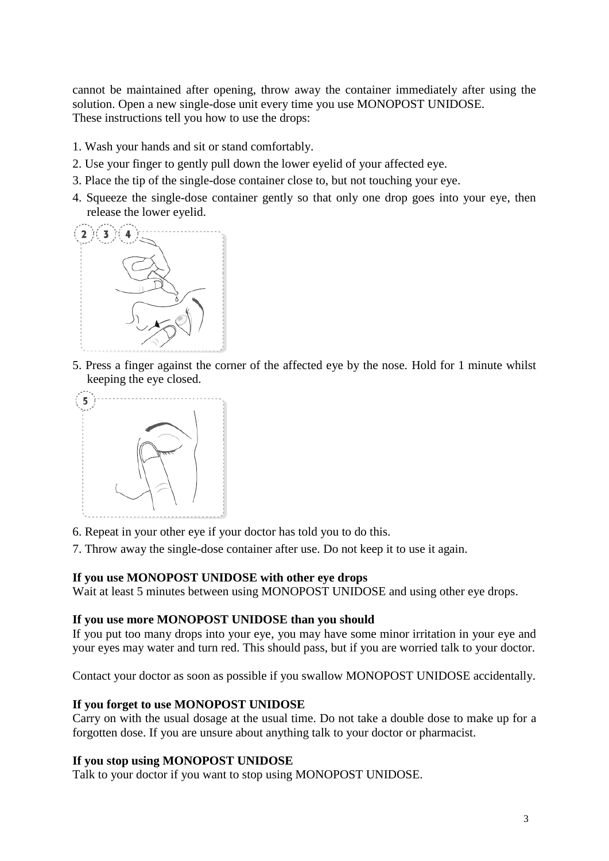cannot be maintained after opening, throw away the container immediately after using the solution. Open a new single-dose unit every time you use MONOPOST UNIDOSE. These instructions tell you how to use the drops:

- 1. Wash your hands and sit or stand comfortably.
- 2. Use your finger to gently pull down the lower eyelid of your affected eye.
- 3. Place the tip of the single-dose container close to, but not touching your eye.
- 4. Squeeze the single-dose container gently so that only one drop goes into your eye, then release the lower eyelid.



5. Press a finger against the corner of the affected eye by the nose. Hold for 1 minute whilst keeping the eye closed.



6. Repeat in your other eye if your doctor has told you to do this.

7. Throw away the single-dose container after use. Do not keep it to use it again.

#### **If you use MONOPOST UNIDOSE with other eye drops**

Wait at least 5 minutes between using MONOPOST UNIDOSE and using other eye drops.

#### **If you use more MONOPOST UNIDOSE than you should**

If you put too many drops into your eye, you may have some minor irritation in your eye and your eyes may water and turn red. This should pass, but if you are worried talk to your doctor.

Contact your doctor as soon as possible if you swallow MONOPOST UNIDOSE accidentally.

#### **If you forget to use MONOPOST UNIDOSE**

Carry on with the usual dosage at the usual time. Do not take a double dose to make up for a forgotten dose. If you are unsure about anything talk to your doctor or pharmacist.

#### **If you stop using MONOPOST UNIDOSE**

Talk to your doctor if you want to stop using MONOPOST UNIDOSE.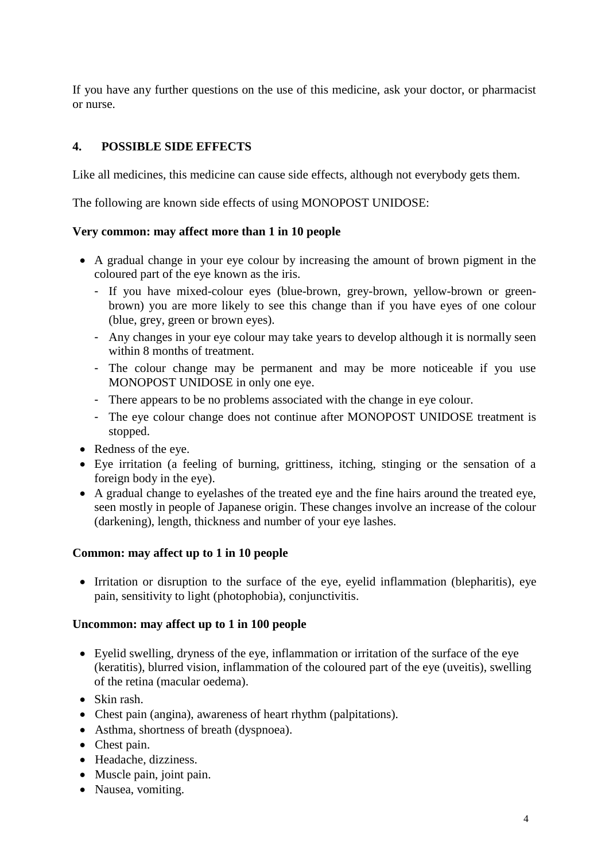If you have any further questions on the use of this medicine, ask your doctor, or pharmacist or nurse.

# **4. POSSIBLE SIDE EFFECTS**

Like all medicines, this medicine can cause side effects, although not everybody gets them.

The following are known side effects of using MONOPOST UNIDOSE:

### **Very common: may affect more than 1 in 10 people**

- A gradual change in your eye colour by increasing the amount of brown pigment in the coloured part of the eye known as the iris.
	- If you have mixed-colour eyes (blue-brown, grey-brown, yellow-brown or greenbrown) you are more likely to see this change than if you have eyes of one colour (blue, grey, green or brown eyes).
	- Any changes in your eye colour may take years to develop although it is normally seen within 8 months of treatment.
	- The colour change may be permanent and may be more noticeable if you use MONOPOST UNIDOSE in only one eye.
	- There appears to be no problems associated with the change in eye colour.
	- The eye colour change does not continue after MONOPOST UNIDOSE treatment is stopped.
- Redness of the eye.
- Eye irritation (a feeling of burning, grittiness, itching, stinging or the sensation of a foreign body in the eye).
- A gradual change to eyelashes of the treated eye and the fine hairs around the treated eye, seen mostly in people of Japanese origin. These changes involve an increase of the colour (darkening), length, thickness and number of your eye lashes.

#### **Common: may affect up to 1 in 10 people**

• Irritation or disruption to the surface of the eye, eyelid inflammation (blepharitis), eye pain, sensitivity to light (photophobia), conjunctivitis.

#### **Uncommon: may affect up to 1 in 100 people**

- Eyelid swelling, dryness of the eye, inflammation or irritation of the surface of the eye (keratitis), blurred vision, inflammation of the coloured part of the eye (uveitis), swelling of the retina (macular oedema).
- Skin rash.
- Chest pain (angina), awareness of heart rhythm (palpitations).
- Asthma, shortness of breath (dyspnoea).
- Chest pain.
- Headache, dizziness.
- Muscle pain, joint pain.
- Nausea, vomiting.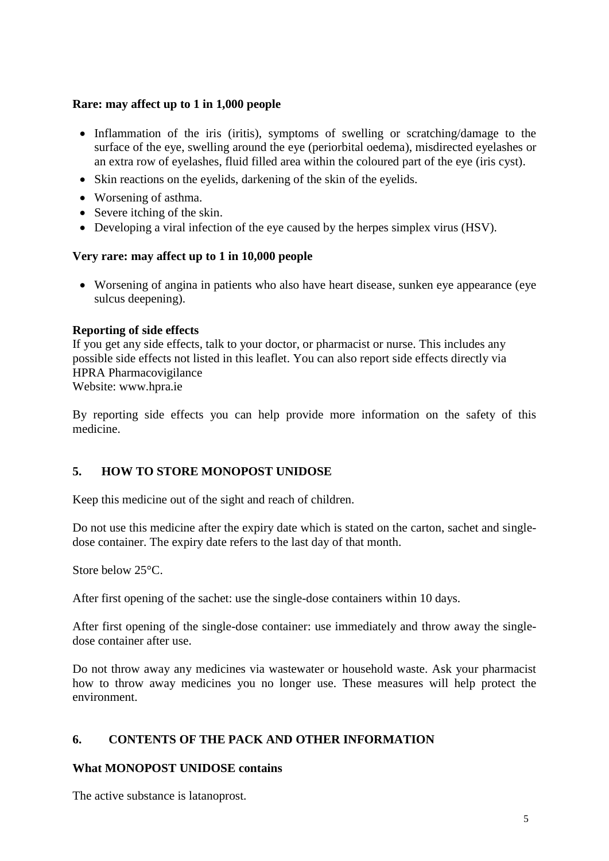# **Rare: may affect up to 1 in 1,000 people**

- Inflammation of the iris (iritis), symptoms of swelling or scratching/damage to the surface of the eye, swelling around the eye (periorbital oedema), misdirected eyelashes or an extra row of eyelashes, fluid filled area within the coloured part of the eye (iris cyst).
- Skin reactions on the eyelids, darkening of the skin of the eyelids.
- Worsening of asthma.
- Severe itching of the skin.
- Developing a viral infection of the eye caused by the herpes simplex virus (HSV).

# **Very rare: may affect up to 1 in 10,000 people**

 Worsening of angina in patients who also have heart disease, sunken eye appearance (eye sulcus deepening).

# **Reporting of side effects**

If you get any side effects, talk to your doctor, or pharmacist or nurse. This includes any possible side effects not listed in this leaflet. You can also report side effects directly via HPRA Pharmacovigilance

Website: www.hpra.ie

By reporting side effects you can help provide more information on the safety of this medicine.

# **5. HOW TO STORE MONOPOST UNIDOSE**

Keep this medicine out of the sight and reach of children.

Do not use this medicine after the expiry date which is stated on the carton, sachet and singledose container. The expiry date refers to the last day of that month.

Store below 25°C.

After first opening of the sachet: use the single-dose containers within 10 days.

After first opening of the single-dose container: use immediately and throw away the singledose container after use.

Do not throw away any medicines via wastewater or household waste. Ask your pharmacist how to throw away medicines you no longer use. These measures will help protect the environment.

# **6. CONTENTS OF THE PACK AND OTHER INFORMATION**

# **What MONOPOST UNIDOSE contains**

The active substance is latanoprost.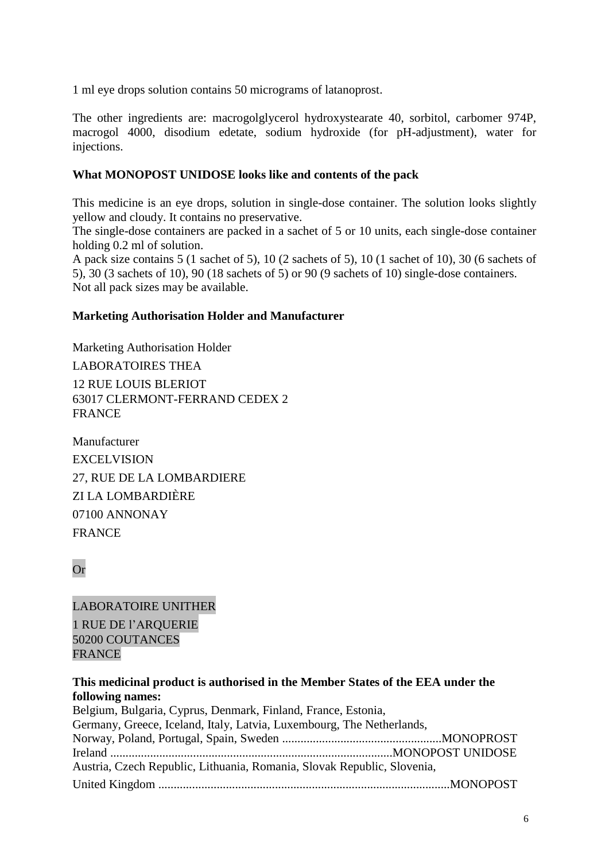1 ml eye drops solution contains 50 micrograms of latanoprost.

The other ingredients are: macrogolglycerol hydroxystearate 40, sorbitol, carbomer 974P, macrogol 4000, disodium edetate, sodium hydroxide (for pH-adjustment), water for injections.

### **What MONOPOST UNIDOSE looks like and contents of the pack**

This medicine is an eye drops, solution in single-dose container. The solution looks slightly yellow and cloudy. It contains no preservative.

The single-dose containers are packed in a sachet of 5 or 10 units, each single-dose container holding 0.2 ml of solution.

A pack size contains 5 (1 sachet of 5), 10 (2 sachets of 5), 10 (1 sachet of 10), 30 (6 sachets of 5), 30 (3 sachets of 10), 90 (18 sachets of 5) or 90 (9 sachets of 10) single-dose containers. Not all pack sizes may be available.

### **Marketing Authorisation Holder and Manufacturer**

Marketing Authorisation Holder LABORATOIRES THEA 12 RUE LOUIS BLERIOT 63017 CLERMONT-FERRAND CEDEX 2 **FRANCE** 

Manufacturer **EXCELVISION** 27, RUE DE LA LOMBARDIERE ZI LA LOMBARDIÈRE 07100 ANNONAY FRANCE

Or

LABORATOIRE UNITHER 1 RUE DE l'ARQUERIE 50200 COUTANCES FRANCE

# **This medicinal product is authorised in the Member States of the EEA under the following names:**

| Belgium, Bulgaria, Cyprus, Denmark, Finland, France, Estonia,           |  |
|-------------------------------------------------------------------------|--|
| Germany, Greece, Iceland, Italy, Latvia, Luxembourg, The Netherlands,   |  |
|                                                                         |  |
|                                                                         |  |
| Austria, Czech Republic, Lithuania, Romania, Slovak Republic, Slovenia, |  |
|                                                                         |  |